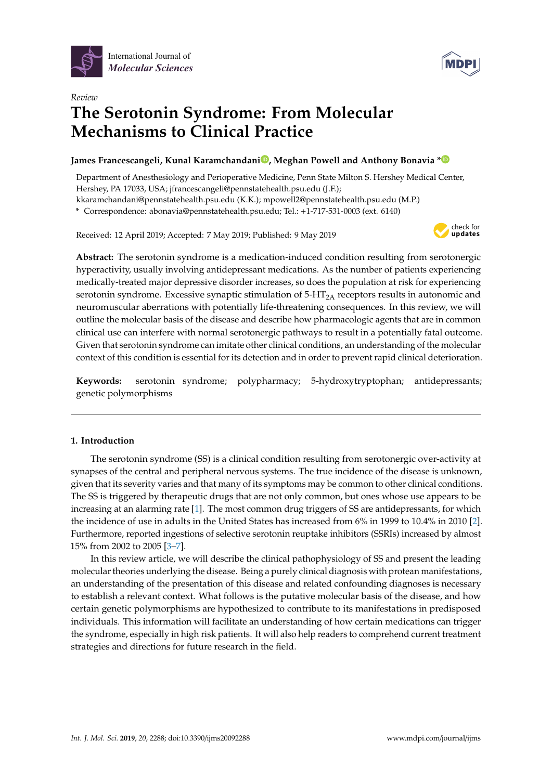



# *Review* **The Serotonin Syndrome: From Molecular Mechanisms to Clinical Practice**

# **James Francescangeli, Kunal Karamchandan[i](https://orcid.org/0000-0003-3089-8088) , Meghan Powell and Anthony Bonavia [\\*](https://orcid.org/0000-0001-9596-001X)**

Department of Anesthesiology and Perioperative Medicine, Penn State Milton S. Hershey Medical Center, Hershey, PA 17033, USA; jfrancescangeli@pennstatehealth.psu.edu (J.F.);

kkaramchandani@pennstatehealth.psu.edu (K.K.); mpowell2@pennstatehealth.psu.edu (M.P.)

**\*** Correspondence: abonavia@pennstatehealth.psu.edu; Tel.: +1-717-531-0003 (ext. 6140)

Received: 12 April 2019; Accepted: 7 May 2019; Published: 9 May 2019



**Abstract:** The serotonin syndrome is a medication-induced condition resulting from serotonergic hyperactivity, usually involving antidepressant medications. As the number of patients experiencing medically-treated major depressive disorder increases, so does the population at risk for experiencing serotonin syndrome. Excessive synaptic stimulation of  $5-HT_{2A}$  receptors results in autonomic and neuromuscular aberrations with potentially life-threatening consequences. In this review, we will outline the molecular basis of the disease and describe how pharmacologic agents that are in common clinical use can interfere with normal serotonergic pathways to result in a potentially fatal outcome. Given that serotonin syndrome can imitate other clinical conditions, an understanding of the molecular context of this condition is essential for its detection and in order to prevent rapid clinical deterioration.

**Keywords:** serotonin syndrome; polypharmacy; 5-hydroxytryptophan; antidepressants; genetic polymorphisms

## **1. Introduction**

The serotonin syndrome (SS) is a clinical condition resulting from serotonergic over-activity at synapses of the central and peripheral nervous systems. The true incidence of the disease is unknown, given that its severity varies and that many of its symptoms may be common to other clinical conditions. The SS is triggered by therapeutic drugs that are not only common, but ones whose use appears to be increasing at an alarming rate [\[1\]](#page-12-0). The most common drug triggers of SS are antidepressants, for which the incidence of use in adults in the United States has increased from 6% in 1999 to 10.4% in 2010 [\[2\]](#page-12-1). Furthermore, reported ingestions of selective serotonin reuptake inhibitors (SSRIs) increased by almost 15% from 2002 to 2005 [\[3–](#page-12-2)[7\]](#page-12-3).

In this review article, we will describe the clinical pathophysiology of SS and present the leading molecular theories underlying the disease. Being a purely clinical diagnosis with protean manifestations, an understanding of the presentation of this disease and related confounding diagnoses is necessary to establish a relevant context. What follows is the putative molecular basis of the disease, and how certain genetic polymorphisms are hypothesized to contribute to its manifestations in predisposed individuals. This information will facilitate an understanding of how certain medications can trigger the syndrome, especially in high risk patients. It will also help readers to comprehend current treatment strategies and directions for future research in the field.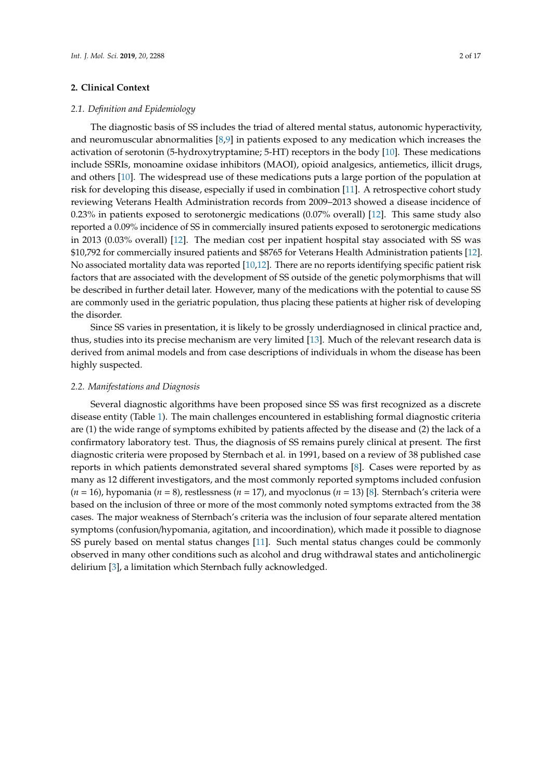#### **2. Clinical Context**

#### *2.1. Definition and Epidemiology*

The diagnostic basis of SS includes the triad of altered mental status, autonomic hyperactivity, and neuromuscular abnormalities [\[8,](#page-12-4)[9\]](#page-12-5) in patients exposed to any medication which increases the activation of serotonin (5-hydroxytryptamine; 5-HT) receptors in the body [\[10\]](#page-12-6). These medications include SSRIs, monoamine oxidase inhibitors (MAOI), opioid analgesics, antiemetics, illicit drugs, and others [\[10\]](#page-12-6). The widespread use of these medications puts a large portion of the population at risk for developing this disease, especially if used in combination [\[11\]](#page-12-7). A retrospective cohort study reviewing Veterans Health Administration records from 2009–2013 showed a disease incidence of 0.23% in patients exposed to serotonergic medications (0.07% overall) [\[12\]](#page-13-0). This same study also reported a 0.09% incidence of SS in commercially insured patients exposed to serotonergic medications in 2013 (0.03% overall) [\[12\]](#page-13-0). The median cost per inpatient hospital stay associated with SS was \$10,792 for commercially insured patients and \$8765 for Veterans Health Administration patients [\[12\]](#page-13-0). No associated mortality data was reported [\[10](#page-12-6)[,12\]](#page-13-0). There are no reports identifying specific patient risk factors that are associated with the development of SS outside of the genetic polymorphisms that will be described in further detail later. However, many of the medications with the potential to cause SS are commonly used in the geriatric population, thus placing these patients at higher risk of developing the disorder.

Since SS varies in presentation, it is likely to be grossly underdiagnosed in clinical practice and, thus, studies into its precise mechanism are very limited [\[13\]](#page-13-1). Much of the relevant research data is derived from animal models and from case descriptions of individuals in whom the disease has been highly suspected.

#### *2.2. Manifestations and Diagnosis*

Several diagnostic algorithms have been proposed since SS was first recognized as a discrete disease entity (Table [1\)](#page-2-0). The main challenges encountered in establishing formal diagnostic criteria are (1) the wide range of symptoms exhibited by patients affected by the disease and (2) the lack of a confirmatory laboratory test. Thus, the diagnosis of SS remains purely clinical at present. The first diagnostic criteria were proposed by Sternbach et al. in 1991, based on a review of 38 published case reports in which patients demonstrated several shared symptoms [\[8\]](#page-12-4). Cases were reported by as many as 12 different investigators, and the most commonly reported symptoms included confusion (*n* = 16), hypomania (*n* = 8), restlessness (*n* = 17), and myoclonus (*n* = 13) [\[8\]](#page-12-4). Sternbach's criteria were based on the inclusion of three or more of the most commonly noted symptoms extracted from the 38 cases. The major weakness of Sternbach's criteria was the inclusion of four separate altered mentation symptoms (confusion/hypomania, agitation, and incoordination), which made it possible to diagnose SS purely based on mental status changes [\[11\]](#page-12-7). Such mental status changes could be commonly observed in many other conditions such as alcohol and drug withdrawal states and anticholinergic delirium [\[3\]](#page-12-2), a limitation which Sternbach fully acknowledged.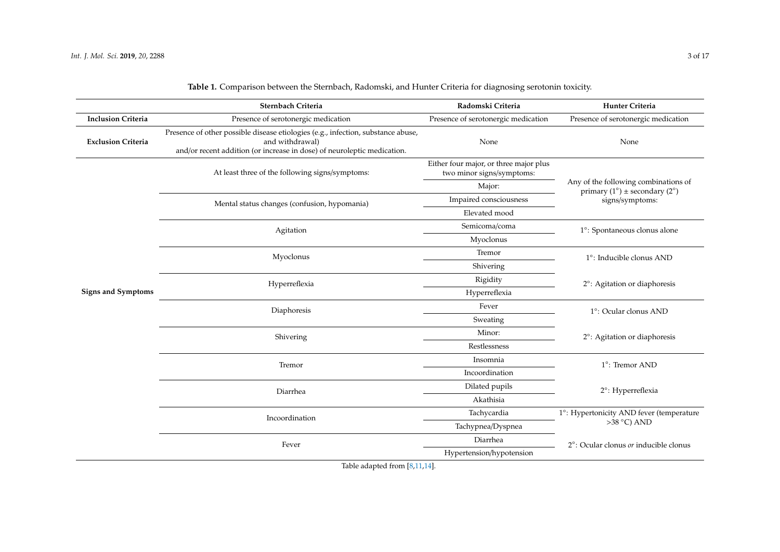<span id="page-2-0"></span>

|                           | Sternbach Criteria                                                                                                                                                             | Radomski Criteria                                                   | Hunter Criteria                                                       |  |
|---------------------------|--------------------------------------------------------------------------------------------------------------------------------------------------------------------------------|---------------------------------------------------------------------|-----------------------------------------------------------------------|--|
| <b>Inclusion Criteria</b> | Presence of serotonergic medication                                                                                                                                            | Presence of serotonergic medication                                 | Presence of serotonergic medication                                   |  |
| <b>Exclusion Criteria</b> | Presence of other possible disease etiologies (e.g., infection, substance abuse,<br>and withdrawal)<br>and/or recent addition (or increase in dose) of neuroleptic medication. | None                                                                | None                                                                  |  |
|                           | At least three of the following signs/symptoms:                                                                                                                                | Either four major, or three major plus<br>two minor signs/symptoms: |                                                                       |  |
|                           |                                                                                                                                                                                | Major:                                                              | Any of the following combinations of<br>primary (1°) ± secondary (2°) |  |
|                           | Mental status changes (confusion, hypomania)                                                                                                                                   | Impaired consciousness                                              | signs/symptoms:                                                       |  |
|                           |                                                                                                                                                                                | Elevated mood                                                       |                                                                       |  |
|                           | Agitation                                                                                                                                                                      | Semicoma/coma                                                       | 1°: Spontaneous clonus alone                                          |  |
|                           |                                                                                                                                                                                | Myoclonus                                                           |                                                                       |  |
|                           | Myoclonus                                                                                                                                                                      | Tremor                                                              | 1°: Inducible clonus AND                                              |  |
|                           |                                                                                                                                                                                | Shivering                                                           |                                                                       |  |
|                           | Hyperreflexia                                                                                                                                                                  | Rigidity                                                            | 2°: Agitation or diaphoresis                                          |  |
| <b>Signs and Symptoms</b> |                                                                                                                                                                                | Hyperreflexia                                                       |                                                                       |  |
|                           | Diaphoresis                                                                                                                                                                    | Fever                                                               | 1°: Ocular clonus AND<br>2°: Agitation or diaphoresis                 |  |
|                           |                                                                                                                                                                                | Sweating                                                            |                                                                       |  |
|                           | Shivering                                                                                                                                                                      | Minor:                                                              |                                                                       |  |
|                           |                                                                                                                                                                                | Restlessness                                                        |                                                                       |  |
|                           | Tremor                                                                                                                                                                         | Insomnia                                                            | 1°: Tremor AND                                                        |  |
|                           |                                                                                                                                                                                | Incoordination                                                      |                                                                       |  |
|                           | Diarrhea                                                                                                                                                                       | Dilated pupils                                                      | 2°: Hyperreflexia                                                     |  |
|                           |                                                                                                                                                                                | Akathisia                                                           |                                                                       |  |
|                           | Incoordination                                                                                                                                                                 | Tachycardia                                                         | 1°: Hypertonicity AND fever (temperature<br>$>38$ °C) AND             |  |
|                           |                                                                                                                                                                                | Tachypnea/Dyspnea                                                   |                                                                       |  |
|                           | Fever                                                                                                                                                                          | Diarrhea                                                            | 2°: Ocular clonus <i>or</i> inducible clonus                          |  |
|                           |                                                                                                                                                                                | Hypertension/hypotension                                            |                                                                       |  |
|                           | $-1.1$<br>$10 - 44$<br>$\mathbf{r}$<br>$\mathbf{r}$                                                                                                                            |                                                                     |                                                                       |  |

**Table 1.** Comparison between the Sternbach, Radomski, and Hunter Criteria for diagnosing serotonin toxicity.

Table adapted from [\[8,](#page-12-0)[11,](#page-12-8)[14\]](#page-13-2).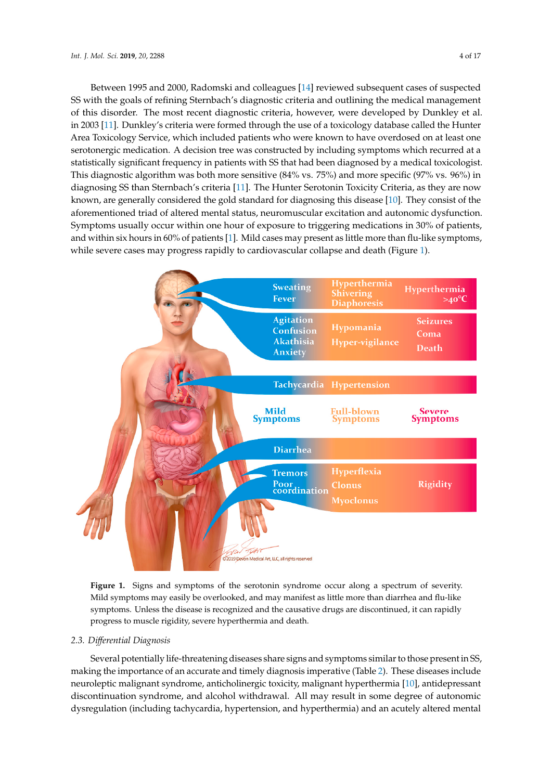Between 1995 and 2000, Radomski and colleagues [\[14\]](#page-13-3) reviewed subsequent cases of suspected SS with the goals of refining Sternbach's diagnostic criteria and outlining the medical management of this disorder. The most recent diagnostic criteria, however, were developed by Dunkley et al. in 2003 [\[11\]](#page-12-7). Dunkley's criteria were formed through the use of a toxicology database called the Hunter Area Toxicology Service, which included patients who were known to have overdosed on at least one serotonergic medication. A decision tree was constructed by including symptoms which recurred at a statistically significant frequency in patients with SS that had been diagnosed by a medical toxicologist. This diagnostic algorithm was both more sensitive (84% vs.  $75\%$ ) and more specific (97% vs. 96%) in diagnosing SS than Sternbach's criteria [\[11\]](#page-12-7). The Hunter Serotonin Toxicity Criteria, as they are now known, are generally considered the gold standard for diagnosing this disease [\[10\]](#page-12-6). They consist of the aforementioned triad of altered mental status, neuromuscular excitation and autonomic dysfunction. Symptoms usually occur within one hour of exposure to triggering medications in 30% of patients, and within six hours in  $60\%$  of patients [\[1\]](#page-12-0). Mild cases may present as little more than flu-like symptoms, while severe cases may progress rapidly to cardiovascular collapse and death (Figure [1\)](#page-3-0).

<span id="page-3-0"></span>

Figure 1. Signs and symptoms of the serotonin syndrome occur along a spectrum of severity. symptoms may easily be overlooked, and may manifest as little more than diarrhea and flu-like Mild symptoms may easily be overlooked, and may manifest as little more than diarrhea and flu-like symptoms. Unless the disease is recognized and the causative drugs are discontinued, it can rapidly symptoms. Unless the disease is recognized and the causative drugs are discontinued, it can rapidly progress to muscle rigidity, severe hyperthermia and death. progress to muscle rigidity, severe hyperthermia and death.

# *2.3. Differential Diagnosis 2.3. Di*ff*erential Diagnosis*

Several potentially life-threatening diseases share signs and symptoms similar to those present Several potentially life-threatening diseases share signs and symptoms similar to those present in SS, in SS, making the importance of an accurate and timely diagnosis imperative [\(T](#page-4-0)able 2). These diseases making the importance of an accurate and timely diagnosis imperative (Table 2). These diseases include neuroleptic malignant syndrome, anticholinergic toxicity, malignant hyperthermia [\[10\]](#page-12-6), antidepressant discontinuation syndrome, and alcohol withdrawal. All may result in some degree of autonomic dysregulation (including tachycardia, hypertension, and hyperthermia) and an acutely altered mental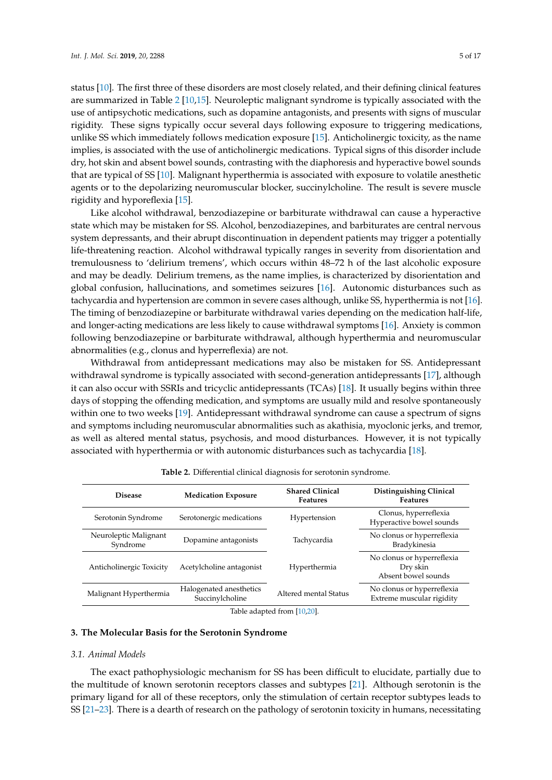status [\[10\]](#page-12-6). The first three of these disorders are most closely related, and their defining clinical features are summarized in Table [2](#page-4-0) [\[10,](#page-12-6)[15\]](#page-13-4). Neuroleptic malignant syndrome is typically associated with the use of antipsychotic medications, such as dopamine antagonists, and presents with signs of muscular rigidity. These signs typically occur several days following exposure to triggering medications, unlike SS which immediately follows medication exposure [\[15\]](#page-13-4). Anticholinergic toxicity, as the name implies, is associated with the use of anticholinergic medications. Typical signs of this disorder include dry, hot skin and absent bowel sounds, contrasting with the diaphoresis and hyperactive bowel sounds that are typical of SS [\[10\]](#page-12-6). Malignant hyperthermia is associated with exposure to volatile anesthetic agents or to the depolarizing neuromuscular blocker, succinylcholine. The result is severe muscle rigidity and hyporeflexia [\[15\]](#page-13-4).

Like alcohol withdrawal, benzodiazepine or barbiturate withdrawal can cause a hyperactive state which may be mistaken for SS. Alcohol, benzodiazepines, and barbiturates are central nervous system depressants, and their abrupt discontinuation in dependent patients may trigger a potentially life-threatening reaction. Alcohol withdrawal typically ranges in severity from disorientation and tremulousness to 'delirium tremens', which occurs within 48–72 h of the last alcoholic exposure and may be deadly. Delirium tremens, as the name implies, is characterized by disorientation and global confusion, hallucinations, and sometimes seizures [\[16\]](#page-13-5). Autonomic disturbances such as tachycardia and hypertension are common in severe cases although, unlike SS, hyperthermia is not [\[16\]](#page-13-5). The timing of benzodiazepine or barbiturate withdrawal varies depending on the medication half-life, and longer-acting medications are less likely to cause withdrawal symptoms [\[16\]](#page-13-5). Anxiety is common following benzodiazepine or barbiturate withdrawal, although hyperthermia and neuromuscular abnormalities (e.g., clonus and hyperreflexia) are not.

Withdrawal from antidepressant medications may also be mistaken for SS. Antidepressant withdrawal syndrome is typically associated with second-generation antidepressants [\[17\]](#page-13-6), although it can also occur with SSRIs and tricyclic antidepressants (TCAs) [\[18\]](#page-13-7). It usually begins within three days of stopping the offending medication, and symptoms are usually mild and resolve spontaneously within one to two weeks [\[19\]](#page-13-8). Antidepressant withdrawal syndrome can cause a spectrum of signs and symptoms including neuromuscular abnormalities such as akathisia, myoclonic jerks, and tremor, as well as altered mental status, psychosis, and mood disturbances. However, it is not typically associated with hyperthermia or with autonomic disturbances such as tachycardia [\[18\]](#page-13-7).

<span id="page-4-0"></span>

| <b>Disease</b>                    | <b>Medication Exposure</b>                 | <b>Shared Clinical</b><br>Features | Distinguishing Clinical<br><b>Features</b>                    |
|-----------------------------------|--------------------------------------------|------------------------------------|---------------------------------------------------------------|
| Serotonin Syndrome                | Serotonergic medications                   | Hypertension                       | Clonus, hyperreflexia<br>Hyperactive bowel sounds             |
| Neuroleptic Malignant<br>Syndrome | Dopamine antagonists                       | Tachycardia                        | No clonus or hyperreflexia<br>Bradykinesia                    |
| Anticholinergic Toxicity          | Acetylcholine antagonist                   | Hyperthermia                       | No clonus or hyperreflexia<br>Dry skin<br>Absent bowel sounds |
| Malignant Hyperthermia            | Halogenated anesthetics<br>Succinylcholine | Altered mental Status              | No clonus or hyperreflexia<br>Extreme muscular rigidity       |
| $\blacksquare$                    |                                            |                                    |                                                               |

| Table 2. Differential clinical diagnosis for serotonin syndrome. |  |  |  |
|------------------------------------------------------------------|--|--|--|
|                                                                  |  |  |  |

Table adapted from [\[10,](#page-12-6)[20\]](#page-13-9).

## **3. The Molecular Basis for the Serotonin Syndrome**

#### *3.1. Animal Models*

The exact pathophysiologic mechanism for SS has been difficult to elucidate, partially due to the multitude of known serotonin receptors classes and subtypes [\[21\]](#page-13-10). Although serotonin is the primary ligand for all of these receptors, only the stimulation of certain receptor subtypes leads to SS [\[21](#page-13-10)[–23\]](#page-13-11). There is a dearth of research on the pathology of serotonin toxicity in humans, necessitating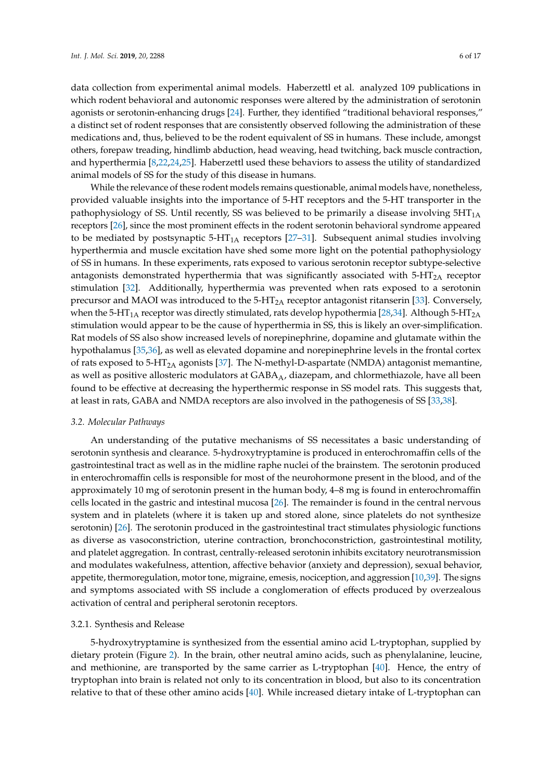data collection from experimental animal models. Haberzettl et al. analyzed 109 publications in which rodent behavioral and autonomic responses were altered by the administration of serotonin agonists or serotonin-enhancing drugs [\[24\]](#page-13-12). Further, they identified "traditional behavioral responses," a distinct set of rodent responses that are consistently observed following the administration of these medications and, thus, believed to be the rodent equivalent of SS in humans. These include, amongst others, forepaw treading, hindlimb abduction, head weaving, head twitching, back muscle contraction, and hyperthermia [\[8,](#page-12-4)[22,](#page-13-13)[24](#page-13-12)[,25\]](#page-13-14). Haberzettl used these behaviors to assess the utility of standardized animal models of SS for the study of this disease in humans.

While the relevance of these rodent models remains questionable, animal models have, nonetheless, provided valuable insights into the importance of 5-HT receptors and the 5-HT transporter in the pathophysiology of SS. Until recently, SS was believed to be primarily a disease involving  $5HT<sub>1A</sub>$ receptors [\[26\]](#page-13-15), since the most prominent effects in the rodent serotonin behavioral syndrome appeared to be mediated by postsynaptic  $5-HT_{1A}$  receptors [\[27–](#page-13-16)[31\]](#page-13-17). Subsequent animal studies involving hyperthermia and muscle excitation have shed some more light on the potential pathophysiology of SS in humans. In these experiments, rats exposed to various serotonin receptor subtype-selective antagonists demonstrated hyperthermia that was significantly associated with  $5-HT<sub>2</sub>A$  receptor stimulation [\[32\]](#page-13-18). Additionally, hyperthermia was prevented when rats exposed to a serotonin precursor and MAOI was introduced to the  $5-\text{HT}_{2A}$  receptor antagonist ritanserin [\[33\]](#page-13-19). Conversely, when the 5-HT<sub>1A</sub> receptor was directly stimulated, rats develop hypothermia [\[28](#page-13-20)[,34\]](#page-13-21). Although 5-HT<sub>2A</sub> stimulation would appear to be the cause of hyperthermia in SS, this is likely an over-simplification. Rat models of SS also show increased levels of norepinephrine, dopamine and glutamate within the hypothalamus [\[35,](#page-13-22)[36\]](#page-14-0), as well as elevated dopamine and norepinephrine levels in the frontal cortex of rats exposed to 5-HT<sub>2A</sub> agonists [\[37\]](#page-14-1). The N-methyl-D-aspartate (NMDA) antagonist memantine, as well as positive allosteric modulators at  $GABA_A$ , diazepam, and chlormethiazole, have all been found to be effective at decreasing the hyperthermic response in SS model rats. This suggests that, at least in rats, GABA and NMDA receptors are also involved in the pathogenesis of SS [\[33](#page-13-19)[,38\]](#page-14-2).

#### *3.2. Molecular Pathways*

An understanding of the putative mechanisms of SS necessitates a basic understanding of serotonin synthesis and clearance. 5-hydroxytryptamine is produced in enterochromaffin cells of the gastrointestinal tract as well as in the midline raphe nuclei of the brainstem. The serotonin produced in enterochromaffin cells is responsible for most of the neurohormone present in the blood, and of the approximately 10 mg of serotonin present in the human body, 4–8 mg is found in enterochromaffin cells located in the gastric and intestinal mucosa [\[26\]](#page-13-15). The remainder is found in the central nervous system and in platelets (where it is taken up and stored alone, since platelets do not synthesize serotonin) [\[26\]](#page-13-15). The serotonin produced in the gastrointestinal tract stimulates physiologic functions as diverse as vasoconstriction, uterine contraction, bronchoconstriction, gastrointestinal motility, and platelet aggregation. In contrast, centrally-released serotonin inhibits excitatory neurotransmission and modulates wakefulness, attention, affective behavior (anxiety and depression), sexual behavior, appetite, thermoregulation, motor tone, migraine, emesis, nociception, and aggression [\[10,](#page-12-6)[39\]](#page-14-3). The signs and symptoms associated with SS include a conglomeration of effects produced by overzealous activation of central and peripheral serotonin receptors.

#### 3.2.1. Synthesis and Release

5-hydroxytryptamine is synthesized from the essential amino acid L-tryptophan, supplied by dietary protein (Figure [2\)](#page-6-0). In the brain, other neutral amino acids, such as phenylalanine, leucine, and methionine, are transported by the same carrier as L-tryptophan [\[40\]](#page-14-4). Hence, the entry of tryptophan into brain is related not only to its concentration in blood, but also to its concentration relative to that of these other amino acids [\[40\]](#page-14-4). While increased dietary intake of L-tryptophan can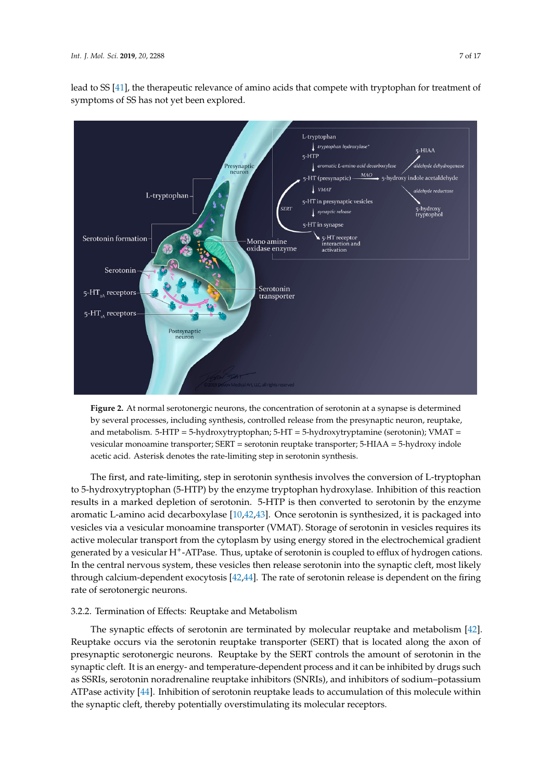

<span id="page-6-0"></span>

**Figure 2.** At normal serotonergic neurons, the concentration of serotonin at a synapse is determined **Figure 2.** At normal serotonergic neurons, the concentration of serotonin at a synapse is determined by several processes, including synthesis, controlled release from the presynaptic neuron, reuptake, by several processes, including synthesis, controlled release from the presynaptic neuron, reuptake, and metabolism. 5-HTP = 5-hydroxytryptophan; 5-HT = 5-hydroxytryptamine (serotonin); VMAT = and metabolism. 5-HTP = 5-hydroxytryptophan; 5-HT = 5-hydroxytryptamine (serotonin); VMAT = vesicular monoamine transporter; SERT = serotonin reuptake transporter; 5-HIAA = 5-hydroxy indole vesicular monoamine transporter; SERT = serotonin reuptake transporter; 5-HIAA = 5-hydroxy indole acetic acid. Asterisk denotes the rate-limiting step in serotonin synthesis. acetic acid. Asterisk denotes the rate-limiting step in serotonin synthesis.

The first, and rate-limiting, step in serotonin synthesis involves the conversion of L-tryptophan The first, and rate-limiting, step in serotonin synthesis involves the conversion of L-tryptophan to 5-hydroxytryptophan (5-HTP) by the enzyme tryptophan hydroxylase. Inhibition of this reaction to 5-hydroxytryptophan (5-HTP) by the enzyme tryptophan hydroxylase. Inhibition of this reaction results in a marked depletion of serotonin. 5-HTP is then converted to serotonin by the enzyme results in a marked depletion of serotonin. 5-HTP is then converted to serotonin by the enzyme aromatic L-amino acid decarboxylase  $[10,42,43]$ . Once serotonin is synthesized, it is packaged into a  $[10,42,43]$ . Once serotonin is spath of a latter and into a  $[10,42,43]$ . aromatic L-amino acid decarboxylase [\[10,](#page-12-6)[42,](#page-14-6)[43\]](#page-14-7). Once serotonin is synthesized, it is packaged into<br>
an *t* and t means of the contract of the contract of the contract of the contract of the contract of the contract of the vesicles via a vesicular monoamine transporter (VMAT). Storage of serotonin in vesicles requires its active molecular transport from the cytoplasm by using energy stored in the electrochemical gradient generated by a vesicular H<sup>+</sup>-ATPase. Thus, uptake of serotonin is coupled to efflux of hydrogen cations. In the central nervous system, these vesicles then release serotonin into the synaptic cleft, most likely through calcium-dependent exocytosis [\[42,](#page-14-6)[44\]](#page-14-8). The rate of serotonin release is dependent on the firing rate of serotonergic neurons.

# 3.2.2. Termination of Effects: Reuptake and Metabolism  $\overline{\phantom{a}}$

The synaptic effects of serotonin are terminated by molecular reuptake and metabolism [\[42\]](#page-14-6). Reuptake occurs via the serotonin reuptake transporter (SERT) that is located along the axon of presynaptic serotonergic neurons. Reuptake by the SERT controls the amount of serotonin in the synaptic cleft. It is an energy- and temperature-dependent process and it can be inhibited by drugs such as SSRIs, serotonin noradrenaline reuptake inhibitors (SNRIs), and inhibitors of sodium–potassium ATPase activity [\[44\]](#page-14-8). Inhibition of serotonin reuptake leads to accumulation of this molecule within the synaptic cleft, thereby potentially overstimulating its molecular receptors.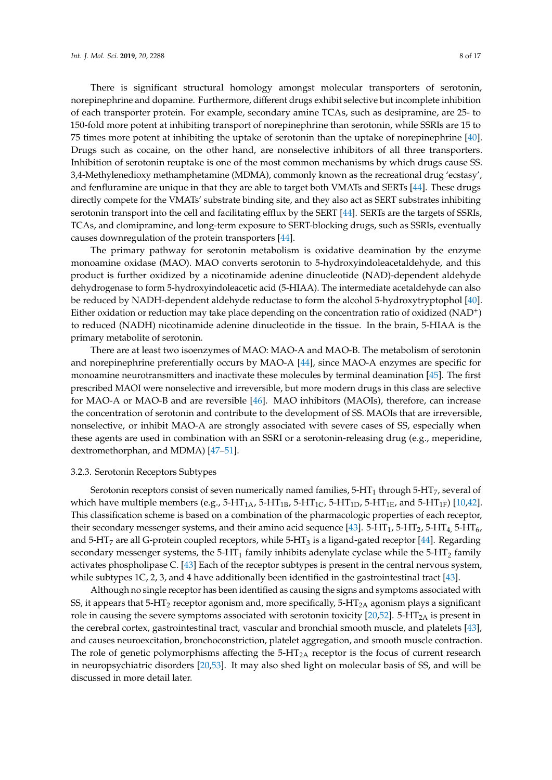There is significant structural homology amongst molecular transporters of serotonin, norepinephrine and dopamine. Furthermore, different drugs exhibit selective but incomplete inhibition of each transporter protein. For example, secondary amine TCAs, such as desipramine, are 25- to 150-fold more potent at inhibiting transport of norepinephrine than serotonin, while SSRIs are 15 to 75 times more potent at inhibiting the uptake of serotonin than the uptake of norepinephrine [\[40\]](#page-14-4). Drugs such as cocaine, on the other hand, are nonselective inhibitors of all three transporters. Inhibition of serotonin reuptake is one of the most common mechanisms by which drugs cause SS. 3,4-Methylenedioxy methamphetamine (MDMA), commonly known as the recreational drug 'ecstasy', and fenfluramine are unique in that they are able to target both VMATs and SERTs [\[44\]](#page-14-8). These drugs directly compete for the VMATs' substrate binding site, and they also act as SERT substrates inhibiting serotonin transport into the cell and facilitating efflux by the SERT [\[44\]](#page-14-8). SERTs are the targets of SSRIs, TCAs, and clomipramine, and long-term exposure to SERT-blocking drugs, such as SSRIs, eventually causes downregulation of the protein transporters [\[44\]](#page-14-8).

The primary pathway for serotonin metabolism is oxidative deamination by the enzyme monoamine oxidase (MAO). MAO converts serotonin to 5-hydroxyindoleacetaldehyde, and this product is further oxidized by a nicotinamide adenine dinucleotide (NAD)-dependent aldehyde dehydrogenase to form 5-hydroxyindoleacetic acid (5-HIAA). The intermediate acetaldehyde can also be reduced by NADH-dependent aldehyde reductase to form the alcohol 5-hydroxytryptophol [\[40\]](#page-14-4). Either oxidation or reduction may take place depending on the concentration ratio of oxidized  $(NAD<sup>+</sup>)$ to reduced (NADH) nicotinamide adenine dinucleotide in the tissue. In the brain, 5-HIAA is the primary metabolite of serotonin.

There are at least two isoenzymes of MAO: MAO-A and MAO-B. The metabolism of serotonin and norepinephrine preferentially occurs by MAO-A [\[44\]](#page-14-8), since MAO-A enzymes are specific for monoamine neurotransmitters and inactivate these molecules by terminal deamination [\[45\]](#page-14-9). The first prescribed MAOI were nonselective and irreversible, but more modern drugs in this class are selective for MAO-A or MAO-B and are reversible [\[46\]](#page-14-10). MAO inhibitors (MAOIs), therefore, can increase the concentration of serotonin and contribute to the development of SS. MAOIs that are irreversible, nonselective, or inhibit MAO-A are strongly associated with severe cases of SS, especially when these agents are used in combination with an SSRI or a serotonin-releasing drug (e.g., meperidine, dextromethorphan, and MDMA) [\[47](#page-14-11)[–51\]](#page-14-12).

#### 3.2.3. Serotonin Receptors Subtypes

Serotonin receptors consist of seven numerically named families,  $5-HT_1$  through  $5-HT_7$ , several of which have multiple members (e.g., 5-HT<sub>1A</sub>, 5-HT<sub>1B</sub>, 5-HT<sub>1C</sub>, 5-HT<sub>1D</sub>, 5-HT<sub>1E</sub>, and 5-HT<sub>1F</sub>) [\[10,](#page-12-6)[42\]](#page-14-6). This classification scheme is based on a combination of the pharmacologic properties of each receptor, their secondary messenger systems, and their amino acid sequence [\[43\]](#page-14-7). 5-HT<sub>1</sub>, 5-HT<sub>2</sub>, 5-HT<sub>4</sub>, 5-HT<sub>6</sub>, and 5-HT<sub>7</sub> are all G-protein coupled receptors, while 5-HT<sub>3</sub> is a ligand-gated receptor [\[44\]](#page-14-8). Regarding secondary messenger systems, the  $5-HT_1$  family inhibits adenylate cyclase while the  $5-HT_2$  family activates phospholipase C. [\[43\]](#page-14-7) Each of the receptor subtypes is present in the central nervous system, while subtypes 1C, 2, 3, and 4 have additionally been identified in the gastrointestinal tract [\[43\]](#page-14-7).

Although no single receptor has been identified as causing the signs and symptoms associated with SS, it appears that 5-HT<sub>2</sub> receptor agonism and, more specifically, 5-HT<sub>2A</sub> agonism plays a significant role in causing the severe symptoms associated with serotonin toxicity  $[20,52]$  $[20,52]$ . 5-HT<sub>2A</sub> is present in the cerebral cortex, gastrointestinal tract, vascular and bronchial smooth muscle, and platelets [\[43\]](#page-14-7), and causes neuroexcitation, bronchoconstriction, platelet aggregation, and smooth muscle contraction. The role of genetic polymorphisms affecting the  $5-HT<sub>2A</sub>$  receptor is the focus of current research in neuropsychiatric disorders [\[20](#page-13-9)[,53\]](#page-14-14). It may also shed light on molecular basis of SS, and will be discussed in more detail later.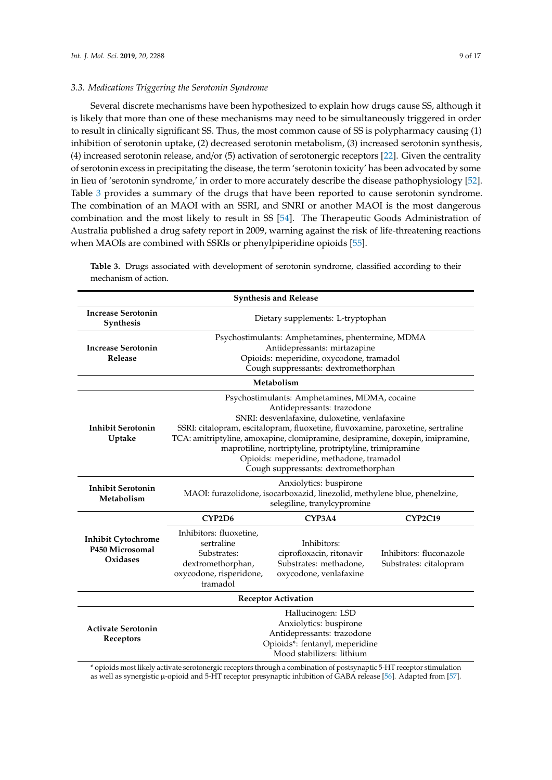#### *3.3. Medications Triggering the Serotonin Syndrome*

Several discrete mechanisms have been hypothesized to explain how drugs cause SS, although it is likely that more than one of these mechanisms may need to be simultaneously triggered in order to result in clinically significant SS. Thus, the most common cause of SS is polypharmacy causing (1) inhibition of serotonin uptake, (2) decreased serotonin metabolism, (3) increased serotonin synthesis, (4) increased serotonin release, and/or (5) activation of serotonergic receptors [\[22\]](#page-13-13). Given the centrality of serotonin excess in precipitating the disease, the term 'serotonin toxicity' has been advocated by some in lieu of 'serotonin syndrome,' in order to more accurately describe the disease pathophysiology [\[52\]](#page-14-13). Table [3](#page-8-0) provides a summary of the drugs that have been reported to cause serotonin syndrome. The combination of an MAOI with an SSRI, and SNRI or another MAOI is the most dangerous combination and the most likely to result in SS [\[54\]](#page-14-15). The Therapeutic Goods Administration of Australia published a drug safety report in 2009, warning against the risk of life-threatening reactions when MAOIs are combined with SSRIs or phenylpiperidine opioids [\[55\]](#page-14-16).

| <b>Synthesis and Release</b>                             |                                                                                                                                                                                                                                                                                                                                                                                                                                                  |                                                                                                                                          |                                                   |
|----------------------------------------------------------|--------------------------------------------------------------------------------------------------------------------------------------------------------------------------------------------------------------------------------------------------------------------------------------------------------------------------------------------------------------------------------------------------------------------------------------------------|------------------------------------------------------------------------------------------------------------------------------------------|---------------------------------------------------|
| <b>Increase Serotonin</b><br>Synthesis                   | Dietary supplements: L-tryptophan                                                                                                                                                                                                                                                                                                                                                                                                                |                                                                                                                                          |                                                   |
| <b>Increase Serotonin</b><br>Release                     | Psychostimulants: Amphetamines, phentermine, MDMA<br>Antidepressants: mirtazapine<br>Opioids: meperidine, oxycodone, tramadol<br>Cough suppressants: dextromethorphan                                                                                                                                                                                                                                                                            |                                                                                                                                          |                                                   |
| Metabolism                                               |                                                                                                                                                                                                                                                                                                                                                                                                                                                  |                                                                                                                                          |                                                   |
| <b>Inhibit Serotonin</b><br>Uptake                       | Psychostimulants: Amphetamines, MDMA, cocaine<br>Antidepressants: trazodone<br>SNRI: desvenlafaxine, duloxetine, venlafaxine<br>SSRI: citalopram, escitalopram, fluoxetine, fluvoxamine, paroxetine, sertraline<br>TCA: amitriptyline, amoxapine, clomipramine, desipramine, doxepin, imipramine,<br>maprotiline, nortriptyline, protriptyline, trimipramine<br>Opioids: meperidine, methadone, tramadol<br>Cough suppressants: dextromethorphan |                                                                                                                                          |                                                   |
| <b>Inhibit Serotonin</b><br>Metabolism                   | Anxiolytics: buspirone<br>MAOI: furazolidone, isocarboxazid, linezolid, methylene blue, phenelzine,<br>selegiline, tranylcypromine                                                                                                                                                                                                                                                                                                               |                                                                                                                                          |                                                   |
|                                                          | CYP2D6                                                                                                                                                                                                                                                                                                                                                                                                                                           | CYP3A4                                                                                                                                   | <b>CYP2C19</b>                                    |
| <b>Inhibit Cytochrome</b><br>P450 Microsomal<br>Oxidases | Inhibitors: fluoxetine,<br>sertraline<br>Substrates:<br>dextromethorphan,<br>oxycodone, risperidone,<br>tramadol                                                                                                                                                                                                                                                                                                                                 | Inhibitors:<br>ciprofloxacin, ritonavir<br>Substrates: methadone,<br>oxycodone, venlafaxine                                              | Inhibitors: fluconazole<br>Substrates: citalopram |
| <b>Receptor Activation</b>                               |                                                                                                                                                                                                                                                                                                                                                                                                                                                  |                                                                                                                                          |                                                   |
| <b>Activate Serotonin</b><br>Receptors                   |                                                                                                                                                                                                                                                                                                                                                                                                                                                  | Hallucinogen: LSD<br>Anxiolytics: buspirone<br>Antidepressants: trazodone<br>Opioids*: fentanyl, meperidine<br>Mood stabilizers: lithium |                                                   |

<span id="page-8-0"></span>**Table 3.** Drugs associated with development of serotonin syndrome, classified according to their mechanism of action.

\* opioids most likely activate serotonergic receptors through a combination of postsynaptic 5-HT receptor stimulation as well as synergistic µ-opioid and 5-HT receptor presynaptic inhibition of GABA release [\[56\]](#page-14-17). Adapted from [\[57\]](#page-14-18).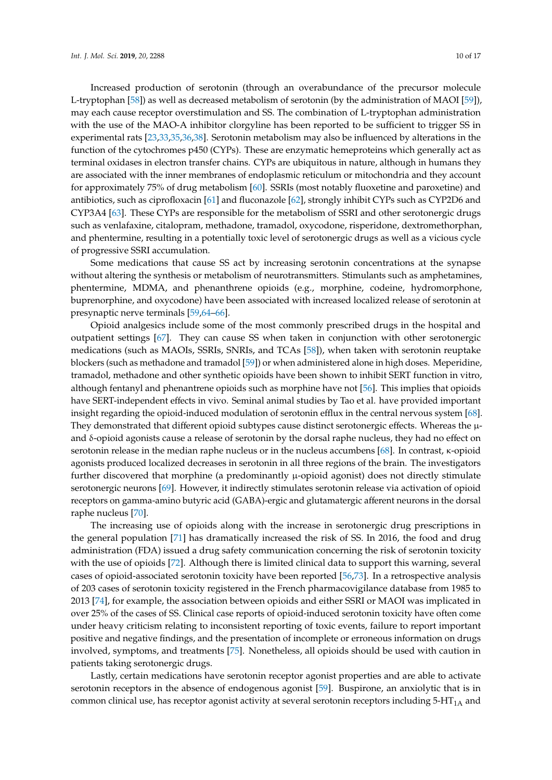Increased production of serotonin (through an overabundance of the precursor molecule L-tryptophan [\[58\]](#page-14-19)) as well as decreased metabolism of serotonin (by the administration of MAOI [\[59\]](#page-14-20)), may each cause receptor overstimulation and SS. The combination of L-tryptophan administration with the use of the MAO-A inhibitor clorgyline has been reported to be sufficient to trigger SS in experimental rats [\[23](#page-13-11)[,33,](#page-13-19)[35,](#page-13-22)[36,](#page-14-0)[38\]](#page-14-2). Serotonin metabolism may also be influenced by alterations in the function of the cytochromes p450 (CYPs). These are enzymatic hemeproteins which generally act as terminal oxidases in electron transfer chains. CYPs are ubiquitous in nature, although in humans they are associated with the inner membranes of endoplasmic reticulum or mitochondria and they account for approximately 75% of drug metabolism [\[60\]](#page-14-21). SSRIs (most notably fluoxetine and paroxetine) and antibiotics, such as ciprofloxacin [\[61\]](#page-14-22) and fluconazole [\[62\]](#page-14-23), strongly inhibit CYPs such as CYP2D6 and CYP3A4 [\[63\]](#page-15-0). These CYPs are responsible for the metabolism of SSRI and other serotonergic drugs such as venlafaxine, citalopram, methadone, tramadol, oxycodone, risperidone, dextromethorphan, and phentermine, resulting in a potentially toxic level of serotonergic drugs as well as a vicious cycle of progressive SSRI accumulation.

Some medications that cause SS act by increasing serotonin concentrations at the synapse without altering the synthesis or metabolism of neurotransmitters. Stimulants such as amphetamines, phentermine, MDMA, and phenanthrene opioids (e.g., morphine, codeine, hydromorphone, buprenorphine, and oxycodone) have been associated with increased localized release of serotonin at presynaptic nerve terminals [\[59,](#page-14-20)[64–](#page-15-1)[66\]](#page-15-2).

Opioid analgesics include some of the most commonly prescribed drugs in the hospital and outpatient settings [\[67\]](#page-15-3). They can cause SS when taken in conjunction with other serotonergic medications (such as MAOIs, SSRIs, SNRIs, and TCAs [\[58\]](#page-14-19)), when taken with serotonin reuptake blockers (such as methadone and tramadol [\[59\]](#page-14-20)) or when administered alone in high doses. Meperidine, tramadol, methadone and other synthetic opioids have been shown to inhibit SERT function in vitro, although fentanyl and phenantrene opioids such as morphine have not [\[56\]](#page-14-17). This implies that opioids have SERT-independent effects in vivo. Seminal animal studies by Tao et al. have provided important insight regarding the opioid-induced modulation of serotonin efflux in the central nervous system [\[68\]](#page-15-4). They demonstrated that different opioid subtypes cause distinct serotonergic effects. Whereas the  $\mu$ and δ-opioid agonists cause a release of serotonin by the dorsal raphe nucleus, they had no effect on serotonin release in the median raphe nucleus or in the nucleus accumbens [\[68\]](#page-15-4). In contrast, κ-opioid agonists produced localized decreases in serotonin in all three regions of the brain. The investigators further discovered that morphine (a predominantly  $\mu$ -opioid agonist) does not directly stimulate serotonergic neurons [\[69\]](#page-15-5). However, it indirectly stimulates serotonin release via activation of opioid receptors on gamma-amino butyric acid (GABA)-ergic and glutamatergic afferent neurons in the dorsal raphe nucleus [\[70\]](#page-15-6).

The increasing use of opioids along with the increase in serotonergic drug prescriptions in the general population [\[71\]](#page-15-7) has dramatically increased the risk of SS. In 2016, the food and drug administration (FDA) issued a drug safety communication concerning the risk of serotonin toxicity with the use of opioids [\[72\]](#page-15-8). Although there is limited clinical data to support this warning, several cases of opioid-associated serotonin toxicity have been reported [\[56,](#page-14-17)[73\]](#page-15-9). In a retrospective analysis of 203 cases of serotonin toxicity registered in the French pharmacovigilance database from 1985 to 2013 [\[74\]](#page-15-10), for example, the association between opioids and either SSRI or MAOI was implicated in over 25% of the cases of SS. Clinical case reports of opioid-induced serotonin toxicity have often come under heavy criticism relating to inconsistent reporting of toxic events, failure to report important positive and negative findings, and the presentation of incomplete or erroneous information on drugs involved, symptoms, and treatments [\[75\]](#page-15-11). Nonetheless, all opioids should be used with caution in patients taking serotonergic drugs.

Lastly, certain medications have serotonin receptor agonist properties and are able to activate serotonin receptors in the absence of endogenous agonist [\[59\]](#page-14-20). Buspirone, an anxiolytic that is in common clinical use, has receptor agonist activity at several serotonin receptors including  $5-HT<sub>1A</sub>$  and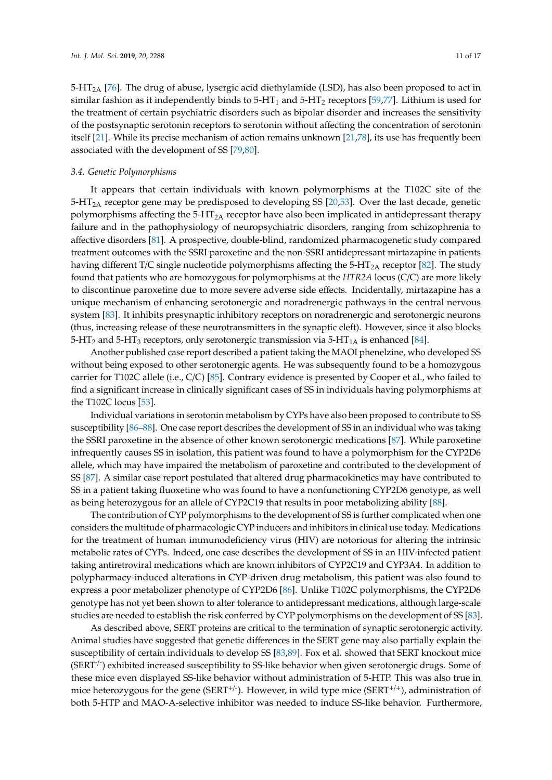$5-\text{HT}_{2A}$  [\[76\]](#page-15-12). The drug of abuse, lysergic acid diethylamide (LSD), has also been proposed to act in similar fashion as it independently binds to  $5-HT_1$  and  $5-HT_2$  receptors [\[59,](#page-14-20)[77\]](#page-15-13). Lithium is used for the treatment of certain psychiatric disorders such as bipolar disorder and increases the sensitivity of the postsynaptic serotonin receptors to serotonin without affecting the concentration of serotonin itself [\[21\]](#page-13-10). While its precise mechanism of action remains unknown [\[21,](#page-13-10)[78\]](#page-15-14), its use has frequently been associated with the development of SS [\[79,](#page-15-15)[80\]](#page-15-16).

#### *3.4. Genetic Polymorphisms*

It appears that certain individuals with known polymorphisms at the T102C site of the  $5-\text{HT}_{2A}$  receptor gene may be predisposed to developing SS [\[20](#page-13-9)[,53\]](#page-14-14). Over the last decade, genetic polymorphisms affecting the  $5-HT_{2A}$  receptor have also been implicated in antidepressant therapy failure and in the pathophysiology of neuropsychiatric disorders, ranging from schizophrenia to affective disorders [\[81\]](#page-15-17). A prospective, double-blind, randomized pharmacogenetic study compared treatment outcomes with the SSRI paroxetine and the non-SSRI antidepressant mirtazapine in patients having different T/C single nucleotide polymorphisms affecting the 5-HT<sub>2A</sub> receptor [\[82\]](#page-15-18). The study found that patients who are homozygous for polymorphisms at the *HTR2A* locus (C/C) are more likely to discontinue paroxetine due to more severe adverse side effects. Incidentally, mirtazapine has a unique mechanism of enhancing serotonergic and noradrenergic pathways in the central nervous system [\[83\]](#page-15-19). It inhibits presynaptic inhibitory receptors on noradrenergic and serotonergic neurons (thus, increasing release of these neurotransmitters in the synaptic cleft). However, since it also blocks 5-HT<sub>2</sub> and 5-HT<sub>3</sub> receptors, only serotonergic transmission via 5-HT<sub>1A</sub> is enhanced [\[84\]](#page-15-20).

Another published case report described a patient taking the MAOI phenelzine, who developed SS without being exposed to other serotonergic agents. He was subsequently found to be a homozygous carrier for T102C allele (i.e., C/C) [\[85\]](#page-15-21). Contrary evidence is presented by Cooper et al., who failed to find a significant increase in clinically significant cases of SS in individuals having polymorphisms at the T102C locus [\[53\]](#page-14-14).

Individual variations in serotonin metabolism by CYPs have also been proposed to contribute to SS susceptibility [\[86](#page-16-0)[–88\]](#page-16-1). One case report describes the development of SS in an individual who was taking the SSRI paroxetine in the absence of other known serotonergic medications [\[87\]](#page-16-2). While paroxetine infrequently causes SS in isolation, this patient was found to have a polymorphism for the CYP2D6 allele, which may have impaired the metabolism of paroxetine and contributed to the development of SS [\[87\]](#page-16-2). A similar case report postulated that altered drug pharmacokinetics may have contributed to SS in a patient taking fluoxetine who was found to have a nonfunctioning CYP2D6 genotype, as well as being heterozygous for an allele of CYP2C19 that results in poor metabolizing ability [\[88\]](#page-16-1).

The contribution of CYP polymorphisms to the development of SS is further complicated when one considers the multitude of pharmacologic CYP inducers and inhibitors in clinical use today. Medications for the treatment of human immunodeficiency virus (HIV) are notorious for altering the intrinsic metabolic rates of CYPs. Indeed, one case describes the development of SS in an HIV-infected patient taking antiretroviral medications which are known inhibitors of CYP2C19 and CYP3A4. In addition to polypharmacy-induced alterations in CYP-driven drug metabolism, this patient was also found to express a poor metabolizer phenotype of CYP2D6 [\[86\]](#page-16-0). Unlike T102C polymorphisms, the CYP2D6 genotype has not yet been shown to alter tolerance to antidepressant medications, although large-scale studies are needed to establish the risk conferred by CYP polymorphisms on the development of SS [\[83\]](#page-15-19).

As described above, SERT proteins are critical to the termination of synaptic serotonergic activity. Animal studies have suggested that genetic differences in the SERT gene may also partially explain the susceptibility of certain individuals to develop SS [\[83](#page-15-19)[,89\]](#page-16-3). Fox et al. showed that SERT knockout mice (SERT<sup>-/-</sup>) exhibited increased susceptibility to SS-like behavior when given serotonergic drugs. Some of these mice even displayed SS-like behavior without administration of 5-HTP. This was also true in mice heterozygous for the gene (SERT<sup>+/-</sup>). However, in wild type mice (SERT<sup>+/+</sup>), administration of both 5-HTP and MAO-A-selective inhibitor was needed to induce SS-like behavior. Furthermore,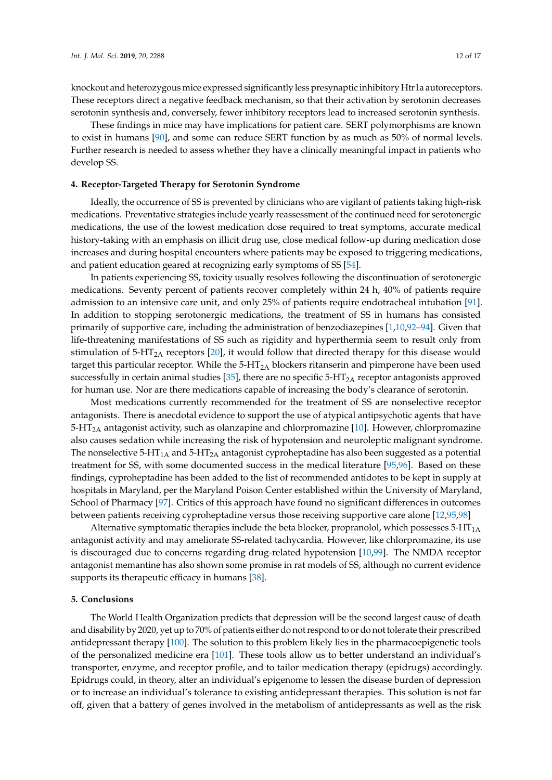knockout and heterozygous mice expressed significantly less presynaptic inhibitory Htr1a autoreceptors. These receptors direct a negative feedback mechanism, so that their activation by serotonin decreases serotonin synthesis and, conversely, fewer inhibitory receptors lead to increased serotonin synthesis.

These findings in mice may have implications for patient care. SERT polymorphisms are known to exist in humans [\[90\]](#page-16-4), and some can reduce SERT function by as much as 50% of normal levels. Further research is needed to assess whether they have a clinically meaningful impact in patients who develop SS.

#### **4. Receptor-Targeted Therapy for Serotonin Syndrome**

Ideally, the occurrence of SS is prevented by clinicians who are vigilant of patients taking high-risk medications. Preventative strategies include yearly reassessment of the continued need for serotonergic medications, the use of the lowest medication dose required to treat symptoms, accurate medical history-taking with an emphasis on illicit drug use, close medical follow-up during medication dose increases and during hospital encounters where patients may be exposed to triggering medications, and patient education geared at recognizing early symptoms of SS [\[54\]](#page-14-15).

In patients experiencing SS, toxicity usually resolves following the discontinuation of serotonergic medications. Seventy percent of patients recover completely within 24 h, 40% of patients require admission to an intensive care unit, and only 25% of patients require endotracheal intubation [\[91\]](#page-16-5). In addition to stopping serotonergic medications, the treatment of SS in humans has consisted primarily of supportive care, including the administration of benzodiazepines [\[1,](#page-12-0)[10,](#page-12-6)[92–](#page-16-6)[94\]](#page-16-7). Given that life-threatening manifestations of SS such as rigidity and hyperthermia seem to result only from stimulation of  $5-HT_{2A}$  receptors [\[20\]](#page-13-9), it would follow that directed therapy for this disease would target this particular receptor. While the  $5-HT_{2A}$  blockers ritanserin and pimperone have been used successfully in certain animal studies [\[35\]](#page-13-22), there are no specific  $5-HT_{2A}$  receptor antagonists approved for human use. Nor are there medications capable of increasing the body's clearance of serotonin.

Most medications currently recommended for the treatment of SS are nonselective receptor antagonists. There is anecdotal evidence to support the use of atypical antipsychotic agents that have  $5-HT<sub>2A</sub>$  antagonist activity, such as olanzapine and chlorpromazine [\[10\]](#page-12-6). However, chlorpromazine also causes sedation while increasing the risk of hypotension and neuroleptic malignant syndrome. The nonselective  $5-HT_{1A}$  and  $5-HT_{2A}$  antagonist cyproheptadine has also been suggested as a potential treatment for SS, with some documented success in the medical literature [\[95](#page-16-8)[,96\]](#page-16-9). Based on these findings, cyproheptadine has been added to the list of recommended antidotes to be kept in supply at hospitals in Maryland, per the Maryland Poison Center established within the University of Maryland, School of Pharmacy [\[97\]](#page-16-10). Critics of this approach have found no significant differences in outcomes between patients receiving cyproheptadine versus those receiving supportive care alone [\[12](#page-13-0)[,95,](#page-16-8)[98\]](#page-16-11)

Alternative symptomatic therapies include the beta blocker, propranolol, which possesses  $5-HT<sub>1A</sub>$ antagonist activity and may ameliorate SS-related tachycardia. However, like chlorpromazine, its use is discouraged due to concerns regarding drug-related hypotension [\[10,](#page-12-6)[99\]](#page-16-12). The NMDA receptor antagonist memantine has also shown some promise in rat models of SS, although no current evidence supports its therapeutic efficacy in humans [\[38\]](#page-14-2).

#### **5. Conclusions**

The World Health Organization predicts that depression will be the second largest cause of death and disability by 2020, yet up to 70% of patients either do not respond to or do not tolerate their prescribed antidepressant therapy [\[100\]](#page-16-13). The solution to this problem likely lies in the pharmacoepigenetic tools of the personalized medicine era [\[101\]](#page-16-14). These tools allow us to better understand an individual's transporter, enzyme, and receptor profile, and to tailor medication therapy (epidrugs) accordingly. Epidrugs could, in theory, alter an individual's epigenome to lessen the disease burden of depression or to increase an individual's tolerance to existing antidepressant therapies. This solution is not far off, given that a battery of genes involved in the metabolism of antidepressants as well as the risk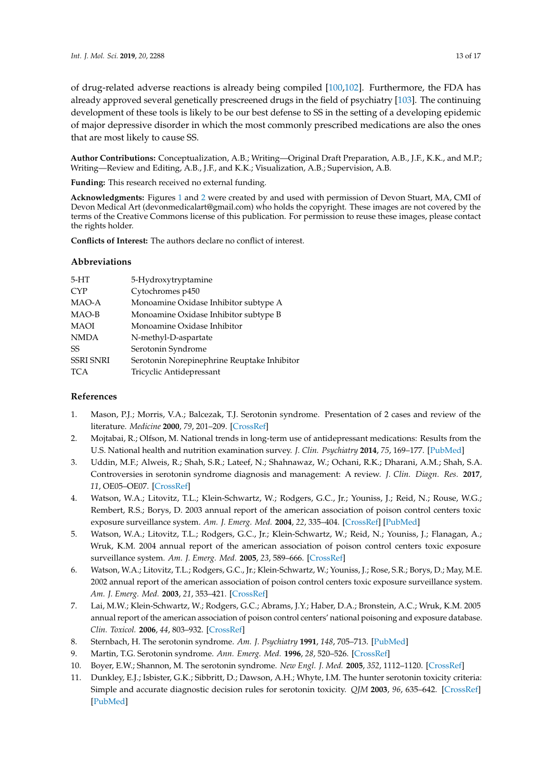of drug-related adverse reactions is already being compiled [\[100](#page-16-13)[,102\]](#page-16-15). Furthermore, the FDA has already approved several genetically prescreened drugs in the field of psychiatry [\[103\]](#page-16-16). The continuing development of these tools is likely to be our best defense to SS in the setting of a developing epidemic of major depressive disorder in which the most commonly prescribed medications are also the ones that are most likely to cause SS.

**Author Contributions:** Conceptualization, A.B.; Writing—Original Draft Preparation, A.B., J.F., K.K., and M.P.; Writing—Review and Editing, A.B., J.F., and K.K.; Visualization, A.B.; Supervision, A.B.

**Funding:** This research received no external funding.

**Acknowledgments:** Figures [1](#page-3-0) and [2](#page-6-0) were created by and used with permission of Devon Stuart, MA, CMI of Devon Medical Art (devonmedicalart@gmail.com) who holds the copyright. These images are not covered by the terms of the Creative Commons license of this publication. For permission to reuse these images, please contact the rights holder.

**Conflicts of Interest:** The authors declare no conflict of interest.

### **Abbreviations**

| $5-HT$           | 5-Hydroxytryptamine                         |
|------------------|---------------------------------------------|
| <b>CYP</b>       | Cytochromes p450                            |
| MAO-A            | Monoamine Oxidase Inhibitor subtype A       |
| MAO-B            | Monoamine Oxidase Inhibitor subtype B       |
| <b>MAOI</b>      | Monoamine Oxidase Inhibitor                 |
| <b>NMDA</b>      | N-methyl-D-aspartate                        |
| SS               | Serotonin Syndrome                          |
| <b>SSRI SNRI</b> | Serotonin Norepinephrine Reuptake Inhibitor |
| <b>TCA</b>       | Tricyclic Antidepressant                    |
|                  |                                             |

## **References**

- <span id="page-12-0"></span>1. Mason, P.J.; Morris, V.A.; Balcezak, T.J. Serotonin syndrome. Presentation of 2 cases and review of the literature. *Medicine* **2000**, *79*, 201–209. [\[CrossRef\]](http://dx.doi.org/10.1097/00005792-200007000-00001)
- <span id="page-12-8"></span><span id="page-12-1"></span>2. Mojtabai, R.; Olfson, M. National trends in long-term use of antidepressant medications: Results from the U.S. National health and nutrition examination survey. *J. Clin. Psychiatry* **2014**, *75*, 169–177. [\[PubMed\]](http://www.ncbi.nlm.nih.gov/pubmed/24345349)
- <span id="page-12-2"></span>3. Uddin, M.F.; Alweis, R.; Shah, S.R.; Lateef, N.; Shahnawaz, W.; Ochani, R.K.; Dharani, A.M.; Shah, S.A. Controversies in serotonin syndrome diagnosis and management: A review. *J. Clin. Diagn. Res.* **2017**, *11*, OE05–OE07. [\[CrossRef\]](http://dx.doi.org/10.7860/JCDR/2017/29473.10696)
- 4. Watson, W.A.; Litovitz, T.L.; Klein-Schwartz, W.; Rodgers, G.C., Jr.; Youniss, J.; Reid, N.; Rouse, W.G.; Rembert, R.S.; Borys, D. 2003 annual report of the american association of poison control centers toxic exposure surveillance system. *Am. J. Emerg. Med.* **2004**, *22*, 335–404. [\[CrossRef\]](http://dx.doi.org/10.1016/j.ajem.2004.06.001) [\[PubMed\]](http://www.ncbi.nlm.nih.gov/pubmed/15490384)
- 5. Watson, W.A.; Litovitz, T.L.; Rodgers, G.C., Jr.; Klein-Schwartz, W.; Reid, N.; Youniss, J.; Flanagan, A.; Wruk, K.M. 2004 annual report of the american association of poison control centers toxic exposure surveillance system. *Am. J. Emerg. Med.* **2005**, *23*, 589–666. [\[CrossRef\]](http://dx.doi.org/10.1016/j.ajem.2005.05.001)
- 6. Watson, W.A.; Litovitz, T.L.; Rodgers, G.C., Jr.; Klein-Schwartz, W.; Youniss, J.; Rose, S.R.; Borys, D.; May, M.E. 2002 annual report of the american association of poison control centers toxic exposure surveillance system. *Am. J. Emerg. Med.* **2003**, *21*, 353–421. [\[CrossRef\]](http://dx.doi.org/10.1016/S0735-6757(03)00088-3)
- <span id="page-12-3"></span>7. Lai, M.W.; Klein-Schwartz, W.; Rodgers, G.C.; Abrams, J.Y.; Haber, D.A.; Bronstein, A.C.; Wruk, K.M. 2005 annual report of the american association of poison control centers' national poisoning and exposure database. *Clin. Toxicol.* **2006**, *44*, 803–932. [\[CrossRef\]](http://dx.doi.org/10.1080/15563650600907165)
- <span id="page-12-4"></span>8. Sternbach, H. The serotonin syndrome. *Am. J. Psychiatry* **1991**, *148*, 705–713. [\[PubMed\]](http://www.ncbi.nlm.nih.gov/pubmed/2035713)
- <span id="page-12-5"></span>9. Martin, T.G. Serotonin syndrome. *Ann. Emerg. Med.* **1996**, *28*, 520–526. [\[CrossRef\]](http://dx.doi.org/10.1016/S0196-0644(96)70116-6)
- <span id="page-12-6"></span>10. Boyer, E.W.; Shannon, M. The serotonin syndrome. *New Engl. J. Med.* **2005**, *352*, 1112–1120. [\[CrossRef\]](http://dx.doi.org/10.1056/NEJMra041867)
- <span id="page-12-7"></span>11. Dunkley, E.J.; Isbister, G.K.; Sibbritt, D.; Dawson, A.H.; Whyte, I.M. The hunter serotonin toxicity criteria: Simple and accurate diagnostic decision rules for serotonin toxicity. *QJM* **2003**, *96*, 635–642. [\[CrossRef\]](http://dx.doi.org/10.1093/qjmed/hcg109) [\[PubMed\]](http://www.ncbi.nlm.nih.gov/pubmed/12925718)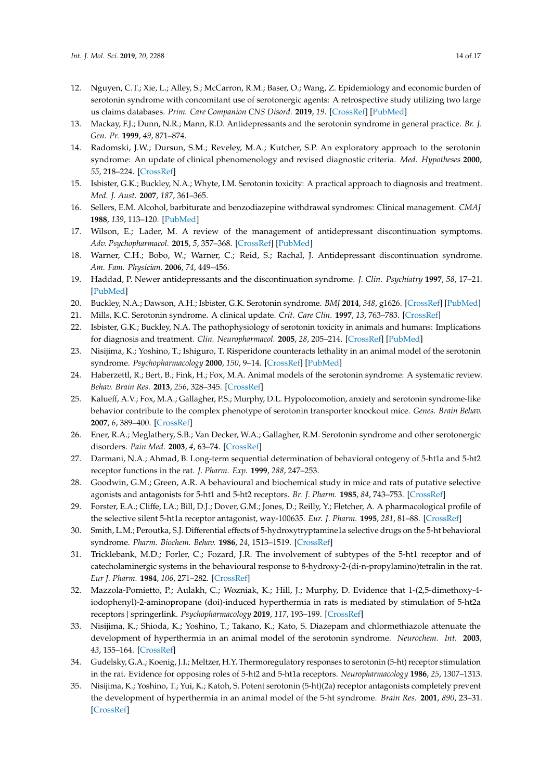- <span id="page-13-2"></span><span id="page-13-0"></span>12. Nguyen, C.T.; Xie, L.; Alley, S.; McCarron, R.M.; Baser, O.; Wang, Z. Epidemiology and economic burden of serotonin syndrome with concomitant use of serotonergic agents: A retrospective study utilizing two large us claims databases. *Prim. Care Companion CNS Disord.* **2019**, *19*. [\[CrossRef\]](http://dx.doi.org/10.4088/PCC.17m02200) [\[PubMed\]](http://www.ncbi.nlm.nih.gov/pubmed/29286588)
- <span id="page-13-1"></span>13. Mackay, F.J.; Dunn, N.R.; Mann, R.D. Antidepressants and the serotonin syndrome in general practice. *Br. J. Gen. Pr.* **1999**, *49*, 871–874.
- <span id="page-13-3"></span>14. Radomski, J.W.; Dursun, S.M.; Reveley, M.A.; Kutcher, S.P. An exploratory approach to the serotonin syndrome: An update of clinical phenomenology and revised diagnostic criteria. *Med. Hypotheses* **2000**, *55*, 218–224. [\[CrossRef\]](http://dx.doi.org/10.1054/mehy.2000.1047)
- <span id="page-13-4"></span>15. Isbister, G.K.; Buckley, N.A.; Whyte, I.M. Serotonin toxicity: A practical approach to diagnosis and treatment. *Med. J. Aust.* **2007**, *187*, 361–365.
- <span id="page-13-5"></span>16. Sellers, E.M. Alcohol, barbiturate and benzodiazepine withdrawal syndromes: Clinical management. *CMAJ* **1988**, *139*, 113–120. [\[PubMed\]](http://www.ncbi.nlm.nih.gov/pubmed/2898972)
- <span id="page-13-6"></span>17. Wilson, E.; Lader, M. A review of the management of antidepressant discontinuation symptoms. *Adv. Psychopharmacol.* **2015**, *5*, 357–368. [\[CrossRef\]](http://dx.doi.org/10.1177/2045125315612334) [\[PubMed\]](http://www.ncbi.nlm.nih.gov/pubmed/26834969)
- <span id="page-13-7"></span>18. Warner, C.H.; Bobo, W.; Warner, C.; Reid, S.; Rachal, J. Antidepressant discontinuation syndrome. *Am. Fam. Physician.* **2006**, *74*, 449–456.
- <span id="page-13-8"></span>19. Haddad, P. Newer antidepressants and the discontinuation syndrome. *J. Clin. Psychiatry* **1997**, *58*, 17–21. [\[PubMed\]](http://www.ncbi.nlm.nih.gov/pubmed/9219489)
- <span id="page-13-9"></span>20. Buckley, N.A.; Dawson, A.H.; Isbister, G.K. Serotonin syndrome. *BMJ* **2014**, *348*, g1626. [\[CrossRef\]](http://dx.doi.org/10.1136/bmj.g1626) [\[PubMed\]](http://www.ncbi.nlm.nih.gov/pubmed/24554467)
- <span id="page-13-10"></span>21. Mills, K.C. Serotonin syndrome. A clinical update. *Crit. Care Clin.* **1997**, *13*, 763–783. [\[CrossRef\]](http://dx.doi.org/10.1016/S0749-0704(05)70368-7)
- <span id="page-13-13"></span>22. Isbister, G.K.; Buckley, N.A. The pathophysiology of serotonin toxicity in animals and humans: Implications for diagnosis and treatment. *Clin. Neuropharmacol.* **2005**, *28*, 205–214. [\[CrossRef\]](http://dx.doi.org/10.1097/01.wnf.0000177642.89888.85) [\[PubMed\]](http://www.ncbi.nlm.nih.gov/pubmed/16239759)
- <span id="page-13-11"></span>23. Nisijima, K.; Yoshino, T.; Ishiguro, T. Risperidone counteracts lethality in an animal model of the serotonin syndrome. *Psychopharmacology* **2000**, *150*, 9–14. [\[CrossRef\]](http://dx.doi.org/10.1007/s002130000397) [\[PubMed\]](http://www.ncbi.nlm.nih.gov/pubmed/10867971)
- <span id="page-13-12"></span>24. Haberzettl, R.; Bert, B.; Fink, H.; Fox, M.A. Animal models of the serotonin syndrome: A systematic review. *Behav. Brain Res.* **2013**, *256*, 328–345. [\[CrossRef\]](http://dx.doi.org/10.1016/j.bbr.2013.08.045)
- <span id="page-13-14"></span>25. Kalueff, A.V.; Fox, M.A.; Gallagher, P.S.; Murphy, D.L. Hypolocomotion, anxiety and serotonin syndrome-like behavior contribute to the complex phenotype of serotonin transporter knockout mice. *Genes. Brain Behav.* **2007**, *6*, 389–400. [\[CrossRef\]](http://dx.doi.org/10.1111/j.1601-183X.2006.00270.x)
- <span id="page-13-15"></span>26. Ener, R.A.; Meglathery, S.B.; Van Decker, W.A.; Gallagher, R.M. Serotonin syndrome and other serotonergic disorders. *Pain Med.* **2003**, *4*, 63–74. [\[CrossRef\]](http://dx.doi.org/10.1046/j.1526-4637.2003.03005.x)
- <span id="page-13-16"></span>27. Darmani, N.A.; Ahmad, B. Long-term sequential determination of behavioral ontogeny of 5-ht1a and 5-ht2 receptor functions in the rat. *J. Pharm. Exp.* **1999**, *288*, 247–253.
- <span id="page-13-20"></span>28. Goodwin, G.M.; Green, A.R. A behavioural and biochemical study in mice and rats of putative selective agonists and antagonists for 5-ht1 and 5-ht2 receptors. *Br. J. Pharm.* **1985**, *84*, 743–753. [\[CrossRef\]](http://dx.doi.org/10.1111/j.1476-5381.1985.tb16157.x)
- 29. Forster, E.A.; Cliffe, I.A.; Bill, D.J.; Dover, G.M.; Jones, D.; Reilly, Y.; Fletcher, A. A pharmacological profile of the selective silent 5-ht1a receptor antagonist, way-100635. *Eur. J. Pharm.* **1995**, *281*, 81–88. [\[CrossRef\]](http://dx.doi.org/10.1016/0014-2999(95)00234-C)
- 30. Smith, L.M.; Peroutka, S.J. Differential effects of 5-hydroxytryptamine1a selective drugs on the 5-ht behavioral syndrome. *Pharm. Biochem. Behav.* **1986**, *24*, 1513–1519. [\[CrossRef\]](http://dx.doi.org/10.1016/0091-3057(86)90477-6)
- <span id="page-13-17"></span>31. Tricklebank, M.D.; Forler, C.; Fozard, J.R. The involvement of subtypes of the 5-ht1 receptor and of catecholaminergic systems in the behavioural response to 8-hydroxy-2-(di-n-propylamino)tetralin in the rat. *Eur J. Pharm.* **1984**, *106*, 271–282. [\[CrossRef\]](http://dx.doi.org/10.1016/0014-2999(84)90714-3)
- <span id="page-13-18"></span>32. Mazzola-Pomietto, P.; Aulakh, C.; Wozniak, K.; Hill, J.; Murphy, D. Evidence that 1-(2,5-dimethoxy-4 iodophenyl)-2-aminopropane (doi)-induced hyperthermia in rats is mediated by stimulation of 5-ht2a receptors | springerlink. *Psychopharmacology* **2019**, *117*, 193–199. [\[CrossRef\]](http://dx.doi.org/10.1007/BF02245187)
- <span id="page-13-19"></span>33. Nisijima, K.; Shioda, K.; Yoshino, T.; Takano, K.; Kato, S. Diazepam and chlormethiazole attenuate the development of hyperthermia in an animal model of the serotonin syndrome. *Neurochem. Int.* **2003**, *43*, 155–164. [\[CrossRef\]](http://dx.doi.org/10.1016/S0197-0186(02)00213-9)
- <span id="page-13-21"></span>34. Gudelsky, G.A.; Koenig, J.I.; Meltzer, H.Y. Thermoregulatory responses to serotonin (5-ht) receptor stimulation in the rat. Evidence for opposing roles of 5-ht2 and 5-ht1a receptors. *Neuropharmacology* **1986**, *25*, 1307–1313.
- <span id="page-13-22"></span>35. Nisijima, K.; Yoshino, T.; Yui, K.; Katoh, S. Potent serotonin (5-ht)(2a) receptor antagonists completely prevent the development of hyperthermia in an animal model of the 5-ht syndrome. *Brain Res.* **2001**, *890*, 23–31. [\[CrossRef\]](http://dx.doi.org/10.1016/S0006-8993(00)03020-1)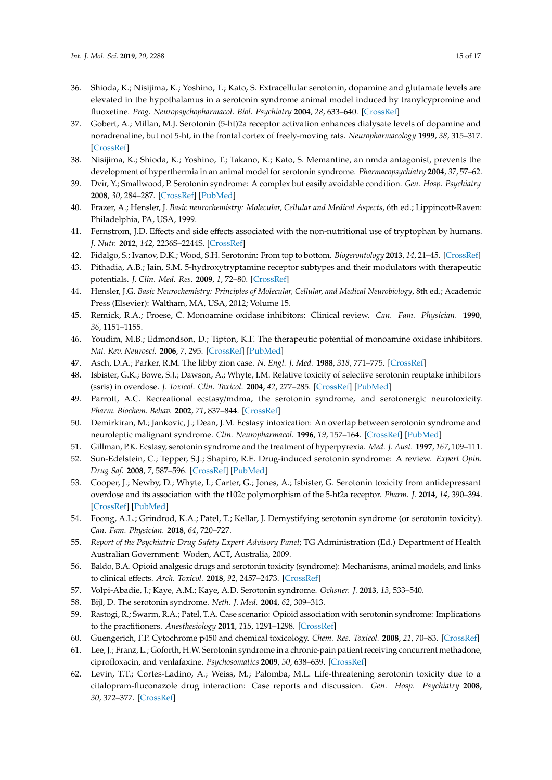- <span id="page-14-0"></span>36. Shioda, K.; Nisijima, K.; Yoshino, T.; Kato, S. Extracellular serotonin, dopamine and glutamate levels are elevated in the hypothalamus in a serotonin syndrome animal model induced by tranylcypromine and fluoxetine. *Prog. Neuropsychopharmacol. Biol. Psychiatry* **2004**, *28*, 633–640. [\[CrossRef\]](http://dx.doi.org/10.1016/j.pnpbp.2004.01.013)
- <span id="page-14-1"></span>37. Gobert, A.; Millan, M.J. Serotonin (5-ht)2a receptor activation enhances dialysate levels of dopamine and noradrenaline, but not 5-ht, in the frontal cortex of freely-moving rats. *Neuropharmacology* **1999**, *38*, 315–317. [\[CrossRef\]](http://dx.doi.org/10.1016/S0028-3908(98)00188-9)
- <span id="page-14-2"></span>38. Nisijima, K.; Shioda, K.; Yoshino, T.; Takano, K.; Kato, S. Memantine, an nmda antagonist, prevents the development of hyperthermia in an animal model for serotonin syndrome. *Pharmacopsychiatry* **2004**, *37*, 57–62.
- <span id="page-14-3"></span>39. Dvir, Y.; Smallwood, P. Serotonin syndrome: A complex but easily avoidable condition. *Gen. Hosp. Psychiatry* **2008**, *30*, 284–287. [\[CrossRef\]](http://dx.doi.org/10.1016/j.genhosppsych.2007.09.007) [\[PubMed\]](http://www.ncbi.nlm.nih.gov/pubmed/18433663)
- <span id="page-14-4"></span>40. Frazer, A.; Hensler, J. *Basic neurochemistry: Molecular, Cellular and Medical Aspects*, 6th ed.; Lippincott-Raven: Philadelphia, PA, USA, 1999.
- <span id="page-14-5"></span>41. Fernstrom, J.D. Effects and side effects associated with the non-nutritional use of tryptophan by humans. *J. Nutr.* **2012**, *142*, 2236S–2244S. [\[CrossRef\]](http://dx.doi.org/10.3945/jn.111.157065)
- <span id="page-14-6"></span>42. Fidalgo, S.; Ivanov, D.K.; Wood, S.H. Serotonin: From top to bottom. *Biogerontology* **2013**, *14*, 21–45. [\[CrossRef\]](http://dx.doi.org/10.1007/s10522-012-9406-3)
- <span id="page-14-7"></span>43. Pithadia, A.B.; Jain, S.M. 5-hydroxytryptamine receptor subtypes and their modulators with therapeutic potentials. *J. Clin. Med. Res.* **2009**, *1*, 72–80. [\[CrossRef\]](http://dx.doi.org/10.4021/jocmr2009.05.1237)
- <span id="page-14-8"></span>44. Hensler, J.G. *Basic Neurochemistry: Principles of Molecular, Cellular, and Medical Neurobiology*, 8th ed.; Academic Press (Elsevier): Waltham, MA, USA, 2012; Volume 15.
- <span id="page-14-9"></span>45. Remick, R.A.; Froese, C. Monoamine oxidase inhibitors: Clinical review. *Can. Fam. Physician.* **1990**, *36*, 1151–1155.
- <span id="page-14-10"></span>46. Youdim, M.B.; Edmondson, D.; Tipton, K.F. The therapeutic potential of monoamine oxidase inhibitors. *Nat. Rev. Neurosci.* **2006**, *7*, 295. [\[CrossRef\]](http://dx.doi.org/10.1038/nrn1883) [\[PubMed\]](http://www.ncbi.nlm.nih.gov/pubmed/16552415)
- <span id="page-14-11"></span>47. Asch, D.A.; Parker, R.M. The libby zion case. *N. Engl. J. Med.* **1988**, *318*, 771–775. [\[CrossRef\]](http://dx.doi.org/10.1056/NEJM198803243181209)
- 48. Isbister, G.K.; Bowe, S.J.; Dawson, A.; Whyte, I.M. Relative toxicity of selective serotonin reuptake inhibitors (ssris) in overdose. *J. Toxicol. Clin. Toxicol.* **2004**, *42*, 277–285. [\[CrossRef\]](http://dx.doi.org/10.1081/CLT-120037428) [\[PubMed\]](http://www.ncbi.nlm.nih.gov/pubmed/15362595)
- 49. Parrott, A.C. Recreational ecstasy/mdma, the serotonin syndrome, and serotonergic neurotoxicity. *Pharm. Biochem. Behav.* **2002**, *71*, 837–844. [\[CrossRef\]](http://dx.doi.org/10.1016/S0091-3057(01)00711-0)
- 50. Demirkiran, M.; Jankovic, J.; Dean, J.M. Ecstasy intoxication: An overlap between serotonin syndrome and neuroleptic malignant syndrome. *Clin. Neuropharmacol.* **1996**, *19*, 157–164. [\[CrossRef\]](http://dx.doi.org/10.1097/00002826-199619020-00004) [\[PubMed\]](http://www.ncbi.nlm.nih.gov/pubmed/8777769)
- <span id="page-14-13"></span><span id="page-14-12"></span>51. Gillman, P.K. Ecstasy, serotonin syndrome and the treatment of hyperpyrexia. *Med. J. Aust.* **1997**, *167*, 109–111.
- 52. Sun-Edelstein, C.; Tepper, S.J.; Shapiro, R.E. Drug-induced serotonin syndrome: A review. *Expert Opin. Drug Saf.* **2008**, *7*, 587–596. [\[CrossRef\]](http://dx.doi.org/10.1517/14740338.7.5.587) [\[PubMed\]](http://www.ncbi.nlm.nih.gov/pubmed/18759711)
- <span id="page-14-14"></span>53. Cooper, J.; Newby, D.; Whyte, I.; Carter, G.; Jones, A.; Isbister, G. Serotonin toxicity from antidepressant overdose and its association with the t102c polymorphism of the 5-ht2a receptor. *Pharm. J.* **2014**, *14*, 390–394. [\[CrossRef\]](http://dx.doi.org/10.1038/tpj.2013.47) [\[PubMed\]](http://www.ncbi.nlm.nih.gov/pubmed/24394202)
- <span id="page-14-15"></span>54. Foong, A.L.; Grindrod, K.A.; Patel, T.; Kellar, J. Demystifying serotonin syndrome (or serotonin toxicity). *Can. Fam. Physician.* **2018**, *64*, 720–727.
- <span id="page-14-16"></span>55. *Report of the Psychiatric Drug Safety Expert Advisory Panel*; TG Administration (Ed.) Department of Health Australian Government: Woden, ACT, Australia, 2009.
- <span id="page-14-17"></span>56. Baldo, B.A. Opioid analgesic drugs and serotonin toxicity (syndrome): Mechanisms, animal models, and links to clinical effects. *Arch. Toxicol.* **2018**, *92*, 2457–2473. [\[CrossRef\]](http://dx.doi.org/10.1007/s00204-018-2244-6)
- <span id="page-14-19"></span><span id="page-14-18"></span>57. Volpi-Abadie, J.; Kaye, A.M.; Kaye, A.D. Serotonin syndrome. *Ochsner. J.* **2013**, *13*, 533–540.
- 58. Bijl, D. The serotonin syndrome. *Neth. J. Med.* **2004**, *62*, 309–313.
- <span id="page-14-20"></span>59. Rastogi, R.; Swarm, R.A.; Patel, T.A. Case scenario: Opioid association with serotonin syndrome: Implications to the practitioners. *Anesthesiology* **2011**, *115*, 1291–1298. [\[CrossRef\]](http://dx.doi.org/10.1097/ALN.0b013e31823940c0)
- <span id="page-14-21"></span>60. Guengerich, F.P. Cytochrome p450 and chemical toxicology. *Chem. Res. Toxicol.* **2008**, *21*, 70–83. [\[CrossRef\]](http://dx.doi.org/10.1021/tx700079z)
- <span id="page-14-22"></span>61. Lee, J.; Franz, L.; Goforth, H.W. Serotonin syndrome in a chronic-pain patient receiving concurrent methadone, ciprofloxacin, and venlafaxine. *Psychosomatics* **2009**, *50*, 638–639. [\[CrossRef\]](http://dx.doi.org/10.1016/S0033-3182(09)70868-0)
- <span id="page-14-23"></span>62. Levin, T.T.; Cortes-Ladino, A.; Weiss, M.; Palomba, M.L. Life-threatening serotonin toxicity due to a citalopram-fluconazole drug interaction: Case reports and discussion. *Gen. Hosp. Psychiatry* **2008**, *30*, 372–377. [\[CrossRef\]](http://dx.doi.org/10.1016/j.genhosppsych.2008.03.008)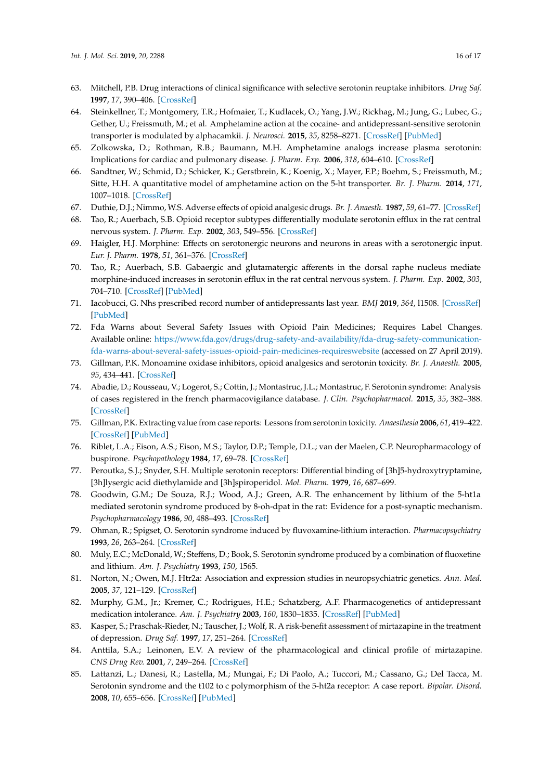- <span id="page-15-0"></span>63. Mitchell, P.B. Drug interactions of clinical significance with selective serotonin reuptake inhibitors. *Drug Saf.* **1997**, *17*, 390–406. [\[CrossRef\]](http://dx.doi.org/10.2165/00002018-199717060-00005)
- <span id="page-15-1"></span>64. Steinkellner, T.; Montgomery, T.R.; Hofmaier, T.; Kudlacek, O.; Yang, J.W.; Rickhag, M.; Jung, G.; Lubec, G.; Gether, U.; Freissmuth, M.; et al. Amphetamine action at the cocaine- and antidepressant-sensitive serotonin transporter is modulated by alphacamkii. *J. Neurosci.* **2015**, *35*, 8258–8271. [\[CrossRef\]](http://dx.doi.org/10.1523/JNEUROSCI.4034-14.2015) [\[PubMed\]](http://www.ncbi.nlm.nih.gov/pubmed/26019340)
- 65. Zolkowska, D.; Rothman, R.B.; Baumann, M.H. Amphetamine analogs increase plasma serotonin: Implications for cardiac and pulmonary disease. *J. Pharm. Exp.* **2006**, *318*, 604–610. [\[CrossRef\]](http://dx.doi.org/10.1124/jpet.106.101618)
- <span id="page-15-2"></span>66. Sandtner, W.; Schmid, D.; Schicker, K.; Gerstbrein, K.; Koenig, X.; Mayer, F.P.; Boehm, S.; Freissmuth, M.; Sitte, H.H. A quantitative model of amphetamine action on the 5-ht transporter. *Br. J. Pharm.* **2014**, *171*, 1007–1018. [\[CrossRef\]](http://dx.doi.org/10.1111/bph.12520)
- <span id="page-15-3"></span>67. Duthie, D.J.; Nimmo, W.S. Adverse effects of opioid analgesic drugs. *Br. J. Anaesth.* **1987**, *59*, 61–77. [\[CrossRef\]](http://dx.doi.org/10.1093/bja/59.1.61)
- <span id="page-15-4"></span>68. Tao, R.; Auerbach, S.B. Opioid receptor subtypes differentially modulate serotonin efflux in the rat central nervous system. *J. Pharm. Exp.* **2002**, *303*, 549–556. [\[CrossRef\]](http://dx.doi.org/10.1124/jpet.102.037861)
- <span id="page-15-5"></span>69. Haigler, H.J. Morphine: Effects on serotonergic neurons and neurons in areas with a serotonergic input. *Eur. J. Pharm.* **1978**, *51*, 361–376. [\[CrossRef\]](http://dx.doi.org/10.1016/0014-2999(78)90428-4)
- <span id="page-15-6"></span>70. Tao, R.; Auerbach, S.B. Gabaergic and glutamatergic afferents in the dorsal raphe nucleus mediate morphine-induced increases in serotonin efflux in the rat central nervous system. *J. Pharm. Exp.* **2002**, *303*, 704–710. [\[CrossRef\]](http://dx.doi.org/10.1124/jpet.102.038133) [\[PubMed\]](http://www.ncbi.nlm.nih.gov/pubmed/12388654)
- <span id="page-15-7"></span>71. Iacobucci, G. Nhs prescribed record number of antidepressants last year. *BMJ* **2019**, *364*, l1508. [\[CrossRef\]](http://dx.doi.org/10.1136/bmj.l1508) [\[PubMed\]](http://www.ncbi.nlm.nih.gov/pubmed/30926584)
- <span id="page-15-8"></span>72. Fda Warns about Several Safety Issues with Opioid Pain Medicines; Requires Label Changes. Available online: https://www.fda.gov/drugs/drug-safety-and-availability/[fda-drug-safety-communication](https://www.fda.gov/drugs/drug-safety-and-availability/fda-drug-safety-communication-fda-warns-about-several-safety-issues-opioid-pain-medicines-requires website)[fda-warns-about-several-safety-issues-opioid-pain-medicines-requireswebsite](https://www.fda.gov/drugs/drug-safety-and-availability/fda-drug-safety-communication-fda-warns-about-several-safety-issues-opioid-pain-medicines-requires website) (accessed on 27 April 2019).
- <span id="page-15-9"></span>73. Gillman, P.K. Monoamine oxidase inhibitors, opioid analgesics and serotonin toxicity. *Br. J. Anaesth.* **2005**, *95*, 434–441. [\[CrossRef\]](http://dx.doi.org/10.1093/bja/aei210)
- <span id="page-15-10"></span>74. Abadie, D.; Rousseau, V.; Logerot, S.; Cottin, J.; Montastruc, J.L.; Montastruc, F. Serotonin syndrome: Analysis of cases registered in the french pharmacovigilance database. *J. Clin. Psychopharmacol.* **2015**, *35*, 382–388. [\[CrossRef\]](http://dx.doi.org/10.1097/JCP.0000000000000344)
- <span id="page-15-11"></span>75. Gillman, P.K. Extracting value from case reports: Lessons from serotonin toxicity. *Anaesthesia* **2006**, *61*, 419–422. [\[CrossRef\]](http://dx.doi.org/10.1111/j.1365-2044.2006.04588.x) [\[PubMed\]](http://www.ncbi.nlm.nih.gov/pubmed/16674612)
- <span id="page-15-12"></span>76. Riblet, L.A.; Eison, A.S.; Eison, M.S.; Taylor, D.P.; Temple, D.L.; van der Maelen, C.P. Neuropharmacology of buspirone. *Psychopathology* **1984**, *17*, 69–78. [\[CrossRef\]](http://dx.doi.org/10.1159/000284133)
- <span id="page-15-13"></span>77. Peroutka, S.J.; Snyder, S.H. Multiple serotonin receptors: Differential binding of [3h]5-hydroxytryptamine, [3h]lysergic acid diethylamide and [3h]spiroperidol. *Mol. Pharm.* **1979**, *16*, 687–699.
- <span id="page-15-14"></span>78. Goodwin, G.M.; De Souza, R.J.; Wood, A.J.; Green, A.R. The enhancement by lithium of the 5-ht1a mediated serotonin syndrome produced by 8-oh-dpat in the rat: Evidence for a post-synaptic mechanism. *Psychopharmacology* **1986**, *90*, 488–493. [\[CrossRef\]](http://dx.doi.org/10.1007/BF00174066)
- <span id="page-15-15"></span>79. Ohman, R.; Spigset, O. Serotonin syndrome induced by fluvoxamine-lithium interaction. *Pharmacopsychiatry* **1993**, *26*, 263–264. [\[CrossRef\]](http://dx.doi.org/10.1055/s-2007-1014367)
- <span id="page-15-16"></span>80. Muly, E.C.; McDonald, W.; Steffens, D.; Book, S. Serotonin syndrome produced by a combination of fluoxetine and lithium. *Am. J. Psychiatry* **1993**, *150*, 1565.
- <span id="page-15-17"></span>81. Norton, N.; Owen, M.J. Htr2a: Association and expression studies in neuropsychiatric genetics. *Ann. Med.* **2005**, *37*, 121–129. [\[CrossRef\]](http://dx.doi.org/10.1080/07853890510037347)
- <span id="page-15-18"></span>82. Murphy, G.M., Jr.; Kremer, C.; Rodrigues, H.E.; Schatzberg, A.F. Pharmacogenetics of antidepressant medication intolerance. *Am. J. Psychiatry* **2003**, *160*, 1830–1835. [\[CrossRef\]](http://dx.doi.org/10.1176/appi.ajp.160.10.1830) [\[PubMed\]](http://www.ncbi.nlm.nih.gov/pubmed/14514498)
- <span id="page-15-19"></span>83. Kasper, S.; Praschak-Rieder, N.; Tauscher, J.; Wolf, R. A risk-benefit assessment of mirtazapine in the treatment of depression. *Drug Saf.* **1997**, *17*, 251–264. [\[CrossRef\]](http://dx.doi.org/10.2165/00002018-199717040-00005)
- <span id="page-15-20"></span>84. Anttila, S.A.; Leinonen, E.V. A review of the pharmacological and clinical profile of mirtazapine. *CNS Drug Rev.* **2001**, *7*, 249–264. [\[CrossRef\]](http://dx.doi.org/10.1111/j.1527-3458.2001.tb00198.x)
- <span id="page-15-21"></span>85. Lattanzi, L.; Danesi, R.; Lastella, M.; Mungai, F.; Di Paolo, A.; Tuccori, M.; Cassano, G.; Del Tacca, M. Serotonin syndrome and the t102 to c polymorphism of the 5-ht2a receptor: A case report. *Bipolar. Disord.* **2008**, *10*, 655–656. [\[CrossRef\]](http://dx.doi.org/10.1111/j.1399-5618.2008.00598.x) [\[PubMed\]](http://www.ncbi.nlm.nih.gov/pubmed/18657250)